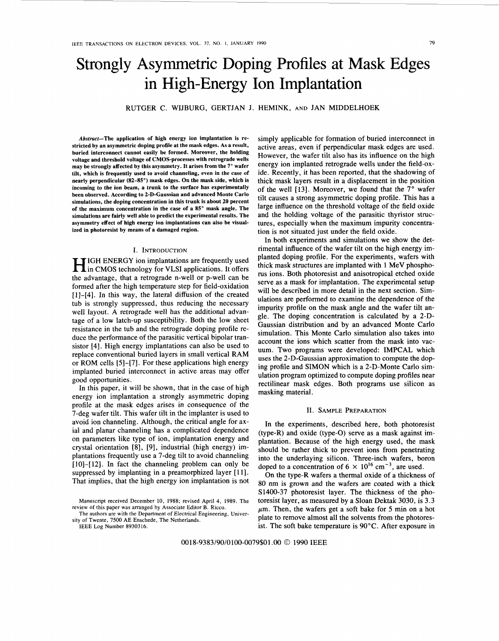# Strongly Asymmetric Doping Profiles at Mask Edges in High-Energy Ion Implantation

RUTGER C. WIJBURG, GERTJAN J. HEMINK, AND JAN MIDDELHOEK

**Abstract-The application of high energy ion implantation is restricted by an asymmetric doping profile at the mask edges. As a result, buried interconnect cannot easily be formed. Moreover, the holding voltage and threshold voltage of CMOS-processes with retrograde wells may be strongly affected by this asymmetry. It arises from the 7" wafer tilt, which is frequently used to avoid channeling, even in the case of nearly perpendicular (82-85") mask edges. On the mask side, which is incoming to the ion beam, a trunk to the surface has experimentally been observed. According to 2-D-Gaussian and advanced Monte Carlo simulations, the doping concentration in this trunk is about 20 percent of the maximum concentration in the case of a 85" mask angle. The simulations are fairly well able to predict the experimental results. The asymmetry effect of high energy ion implantations can also be visualized in photoresist by means of a damaged region.** 

# I. INTRODUCTION

**IFF** IGH ENERGY ion implantations are frequently used in CMOS technology for VLSI applications. It offers the advantage, that a retrograde n-well or p-well can be formed after the high temperature step for field-oxidation [1]-[4]. In this way, the lateral diffusion of the created tub is strongly suppressed, thus reducing the necessary well layout. A retrograde well has the additional advantage of a low latch-up susceptibility. Both the low sheet resistance in the tub and the retrograde doping profile reduce the performance of the parasitic vertical bipolar transistor [4]. High energy implantations can also be used to replace conventional buried layers in small vertical RAM or ROM cells [5]-[7]. For these applications high energy implanted buried interconnect in active areas may offer good opportunities.

In this paper, it will be shown, that in the case of high energy ion implantation a strongly asymmetric doping profile at the mask edges arises in consequence of the 7-deg wafer tilt. This wafer tilt in the implanter is used to avoid ion channeling. Although, the critical angle for axial and planar channeling has a complicated dependence on parameters like type of ion, implantation energy and crystal orientation [8], [9], industrial (high energy) implantations frequently use a 7-deg tilt to avoid channeling [10]-[12]. In fact the channeling problem can only be suppressed by implanting in a preamorphized layer [11]. That implies, that the high energy ion implantation is not

IEEE Log Number 8930316.

simply applicable for formation of buried interconnect in active areas, even if perpendicular mask edges are used. However, the wafer tilt also has its influence on the high energy ion implanted retrograde wells under the field-oxide. Recently, it has been reported, that the shadowing of thick mask layers result in a displacement in the position of the well [13]. Moreover, we found that the  $7^\circ$  wafer tilt causes a strong asymmetric doping profile. This has a large influence on the threshold voltage of the field oxide and the holding voltage of the parasitic thyristor structures, especially when the maximum impurity concentration is not situated just under the field oxide.

In both experiments and simulations we show the detrimental influence of the wafer tilt on the high energy implanted doping profile. For the experiments, wafers with thick mask structures are implanted with 1 MeV phosphorus ions. Both photoresist and anisotropical etched oxide serve as a mask for implantation. The experimental setup will be described in more detail in the next section. Simulations are performed to examine the dependence of the impurity profile on the mask angle and the wafer tilt angle. The doping concentration is calculated by a **2-D-**Gaussian distribution and by an advanced Monte Carlo simulation. This Monte Carlo simulation also takes into account the ions which scatter from the mask into vacuum. Two programs were developed: IMPCAL which uses the 2-D-Gaussian approximation to compute the doping profile and SIMON which is a 2-D-Monte Carlo simulation program optimized to compute doping profiles near rectilinear mask edges. Both programs use silicon as masking material.

# 11. SAMPLE PREPARATION

In the experiments, described here, both photoresist (type-R) and oxide (type-0) serve as a mask against implantation. Because of the high energy used, the mask should be rather thick to prevent ions from penetrating into the underlaying silicon. Three-inch wafers, boron doped to a concentration of  $6 \times 10^{16}$  cm<sup>-3</sup>, are used.

On the type-R wafers a thermal oxide of a thickness of 80 nm is grown and the wafers are coated with a thick S1400-37 photoresist layer. The thickness of the photoresist layer, as measured by a Sloan Dektak 3030, is **3.3**   $\mu$ m. Then, the wafers get a soft bake for 5 min on a hot plate to remove almost all the solvents from the photoresist. The soft bake temperature is 90°C. After exposure in

Manuscript received December 10, 1988; revised April **4,** 1989. The review of this paper was arranged by Associate Editor **B.** Ricco.

The authors are with the Department of Electrical Engineering, University of Twente, 7500 AE Enschede, The Netherlands.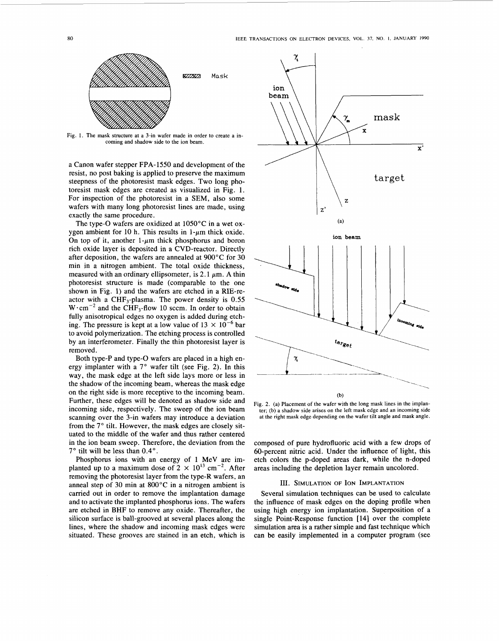

**Fig.** 1. **The mask structure at a 3-in wafer made in order to create a incoming and shadow side to the ion beam.** 

a Canon wafer stepper FPA-1550 and development of the resist, no post baking is applied to preserve the maximum steepness of the photoresist mask edges. Two long photoresist mask edges are created as visualized in Fig. 1. For inspection of the photoresist in a SEM, also some wafers with many long photoresist lines are made, using exactly the same procedure.

The type-0 wafers are oxidized at 1050°C in a wet oxygen ambient for 10 h. This results in  $1-\mu m$  thick oxide. On top of it, another  $1-\mu m$  thick phosphorus and boron rich oxide layer is deposited in a CVD-reactor. Directly after deposition, the wafers are annealed at 900°C for 30 min in a nitrogen ambient. The total oxide thickness, measured with an ordinary ellipsometer, is  $2.1 \mu m$ . A thin photoresist structure is made (comparable to the one shown in Fig. 1) and the wafers are etched in a RIE-reactor with a CHF<sub>3</sub>-plasma. The power density is  $0.55$  $W \cdot cm^{-2}$  and the CHF<sub>3</sub>-flow 10 sccm. In order to obtain fully anisotropical edges no oxygen is added during etching. The pressure is kept at a low value of  $13 \times 10^{-6}$  bar to avoid polymerization. The etching process is controlled by an interferometer. Finally the thin photoresist layer is removed.

Both type-P and type-0 wafers are placed in a high energy implanter with a  $7^{\circ}$  wafer tilt (see Fig. 2). In this way, the mask edge at the left side lays more or less in the shadow of the incoming beam, whereas the mask edge on the right side is more receptive to the incoming beam. Further, these edges will be denoted as shadow side and incoming side, respectively. The sweep of the ion beam scanning over the 3-in wafers may introduce a deviation from the  $7^\circ$  tilt. However, the mask edges are closely situated to the middle of the wafer and thus rather centered in the ion beam sweep. Therefore, the deviation from the  $7^{\circ}$  tilt will be less than  $0.4^{\circ}$ .

Phosphorus ions with an energy of 1 MeV are implanted up to a maximum dose of  $2 \times 10^{13}$  cm<sup>-2</sup>. After removing the photoresist layer from the type-R wafers, an anneal step of 30 min at 800°C in a nitrogen ambient is carried out in order to remove the implantation damage and to activate the implanted phosphorus ions. The wafers are etched in BHF to remove any oxide. Thereafter, the silicon surface is ball-grooved at several places along the lines, where the shadow and incoming mask edges were situated. These grooves are stained in an etch, which is



**Fig. 2. (a) Placement of the wafer with the long mask lines in the implanter;** (b) **a shadow side arises on the left mask edge and an incoming side at the right mask edge depending on the wafer tilt angle and mask angle.** 

composed of pure hydrofluoric acid with a few drops of 60-percent nitric acid. Under the influence of light, this etch colors the p-doped areas dark, while the n-doped areas including the depletion layer remain uncolored.

#### III. SIMULATION OF ION IMPLANTATION

Several simulation techniques can be used to calculate the influence of mask edges on the doping profile when using high energy ion implantation. Superposition of a single Point-Response function [ **141** over the complete simulation area is a rather simple and fast technique which can be easily implemented in a computer program (see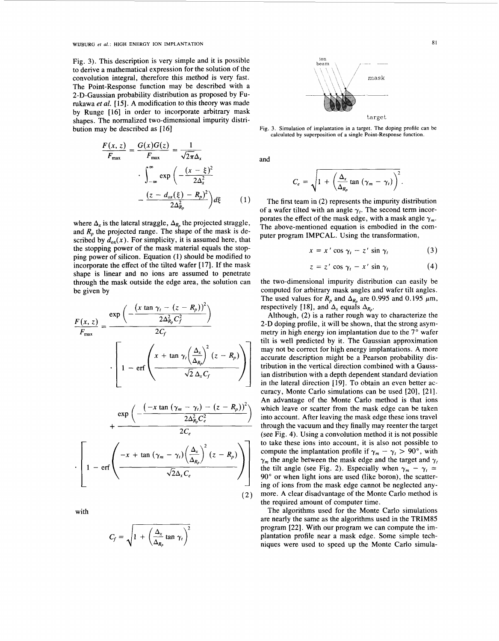Fig. 3). This description is very simple and it is possible to derive a mathematical expression for the solution of the convolution integral, therefore this method is very fast. The Point-Response function may be described with a 2-D-Gaussian probability distribution as proposed by Furukawa et al. [ **151.** A modification to this theory was made by Runge [16] in order to incorporate arbitrary mask shapes. The normalized two-dimensional impurity distribution may be described as [16]

$$
\frac{F(x, z)}{F_{\text{max}}} = \frac{G(x)G(z)}{F_{\text{max}}} = \frac{1}{\sqrt{2\pi}\Delta_x}
$$

$$
\int_{-\infty}^{\infty} \exp\left(-\frac{(x-\xi)^2}{2\Delta_x^2}\right)
$$

$$
-\frac{(z - d_{ox}(\xi) - R_p)^2}{2\Delta_{R_p}^2}d\xi \qquad (1)
$$

where  $\Delta_x$  is the lateral straggle,  $\Delta_{R_p}$  the projected straggle, and  $R_p$  the projected range. The shape of the mask is described by  $d_{\text{o}x}(x)$ . For simplicity, it is assumed here, that the stopping power of the mask material equals the stopping power of silicon. Equation **(1)** should be modified to incorporate the effect of the tilted wafer [17]. If the mask shape is linear and no ions are assumed to penetrate through the mask outside the edge area, the solution can be given by

$$
\frac{F(x, z)}{F_{\text{max}}} = \frac{\exp\left(-\frac{(x \tan \gamma_t - (z - R_p))^2}{2\Delta_{R_p}^2 C_f^2}\right)}{2C_f}
$$
\n
$$
\cdot \left[1 - \text{erf}\left(\frac{x + \tan \gamma_t \left(\frac{\Delta_x}{\Delta_{R_p}}\right)^2 (z - R_p)}{\sqrt{2} \Delta_x C_f}\right)\right]
$$

$$
+\frac{\exp\left(-\frac{(-x\tan(\gamma_m-\gamma_t)-(z-R_p))^2}{2\Delta_{R_p}^2C_e^2}\right)}{2C_e}
$$

$$
\cdot\left[1-\text{erf}\left(\frac{-x+\tan(\gamma_m-\gamma_t)\left(\frac{\Delta_x}{\Delta_{R_p}}\right)^2(z-R_p)}{\sqrt{2}\Delta_xC_e}\right)\right]
$$
(2)

with

$$
C_f = \sqrt{1 + \left(\frac{\Delta_x}{\Delta_{R_p}}\tan\,\gamma_t\right)^2}
$$



**Fig.** *3.* **Simulation of implantation in a target. The doping profile can be calculated by superposition of a single Point-Response function.** 

and

$$
C_e = \sqrt{1 + \left(\frac{\Delta_x}{\Delta_{R_p}}\tan\left(\gamma_m - \gamma_t\right)\right)^2}.
$$

The first team in (2) represents the impurity distribution of a wafer tilted with an angle  $\gamma_t$ . The second term incorporates the effect of the mask edge, with a mask angle  $\gamma_m$ . The above-mentioned equation is embodied in the computer program IMPCAL. Using the transformation,

$$
x = x' \cos \gamma_t - z' \sin \gamma_t \tag{3}
$$

$$
z = z' \cos \gamma_t - x' \sin \gamma_t \tag{4}
$$

the two-dimensional impurity distribution can easily be computed for arbitrary mask angles and wafer tilt angles. The used values for  $R_p$  and  $\Delta_{R_p}$  are 0.995 and 0.195  $\mu$ m, respectively [18], and  $\Delta_x$  equals  $\Delta_{R_p}$ .

Although, (2) is a rather rough way to characterize the 2-D doping profile, it will be shown, that the strong asymmetry in high energy ion implantation due to the 7<sup>°</sup> wafer tilt is well predicted by it. The Gaussian approximation may not be correct for high energy implantations. A more accurate description might be a Pearson probability distribution in the vertical direction combined with a Gaussian distribution with a depth dependent standard deviation in the lateral direction [19]. To obtain an even better accuracy, Monte Carlo simulations can be used [20], [21]. An advantage of the Monte Carlo method is that ions which leave or scatter from the mask edge can be taken into account. After leaving the mask edge these ions travel through the vacuum and they finally may reenter the target (see Fig. **4).** Using a convolution method it is not possible to take these ions into account, it is also not possible to compute the implantation profile if  $\gamma_m - \gamma_t > 90^\circ$ , with  $\gamma_m$  the angle between the mask edge and the target and  $\gamma_l$ the tilt angle (see Fig. 2). Especially when  $\gamma_m - \gamma_i$  =  $90^\circ$  or when light ions are used (like boron), the scattering of ions from the mask edge cannot be neglected anymore. A clear disadvantage of the Monte Carlo method is the required amount of computer time.

The algorithms used for the Monte Carlo simulations are nearly the same as the algorithms used in the TRIM85 program [22]. With our program we can compute the implantation profile near a mask edge. Some simple techniques were used to speed up the Monte Carlo simula-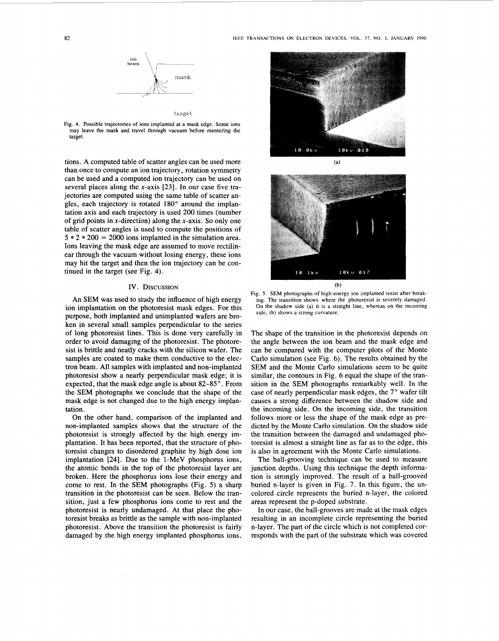

target

Fig. 4. Possible trajectories of ions implanted at a mask edge. Some ions may leave the mask and travel through vacuum before reentering the target.

tions. A computed table of scatter angles can be used more than once to compute an ion trajectory, rotation symmetry can be used and a computed ion trajectory can be used on several places along the x-axis **[23].** In our case five trajectories are computed using the same table of scatter angles, each trajectory is rotated **180"** around the implantation axis and each trajectory is used **200** times (number of grid points in  $x$ -direction) along the  $x$ -axis. So only one table of scatter angles is used to compute the positions of  $5 * 2 * 200 = 2000$  ions implanted in the simulation area. Ions leaving the mask edge are assumed to move rectilinear through the vacuum without losing energy, these ions may hit the target and then the ion trajectory can be continued in the target (see Fig. **4).** 

# IV. DISCUSSION

An SEM was used to study the influence of high energy ion implantation on the photoresist mask edges. For this purpose, both implanted and unimplanted wafers are broken in several small samples perpendicular to the series of long photoresist lines. This is done very carefully in order to avoid damaging of the photoresist. The photoresist is brittle and neatly cracks with the silicon wafer. The samples are coated to make them conductive to the electron beam. All samples with implanted and non-implanted photoresist show a nearly perpendicular mask edge; it is expected, that the mask edge angle is about 82–85<sup>°</sup>. From the SEM photographs we conclude that the shape of the mask edge is not changed due to the high energy implantation.

On the other hand, comparison of the implanted and non-implanted samples shows that the structure of the photoresist is strongly affected by the high energy implantation. It has been reported, that the structure of photoresist changes to disordered graphite by high dose ion implantation **[24].** Due to the 1-MeV phosphorus ions, the atomic bonds in the top of the photoresist layer are broken. Here the phosphorus ions lose their energy and come to rest. In the SEM photographs (Fig. 5) a sharp transition in the photoresist can be seen. Below the transition, just a few phosphorus ions come to rest and the photoresist is nearly undamaged. At that place the photoresist breaks as brittle as the sample with non-implanted photoresist. Above the transition the photoresist is fairly damaged by the high energy implanted phosphorus ions.





Fig. 5. **SEM** photographs **of** high-energy ion implanted resist after breaking. The transition shows where the photoresist is severely damaged. On the shadow side (a) it is a straight line, whereas on the incoming side, (b) shows a strong curvature.

The shape of the transition in the photoresist depends on the angle between the ion beam and the mask edge and can be compared with the computer plots of the Monte Carlo simulation (see Fig. 6). The results obtained by the SEM and the Monte Carlo simulations seem to be quite similar, the contours in [Fig. 6](#page-4-0) equal the shape of the transition in the SEM photographs remarkably well. In the case of nearly perpendicular mask edges, the 7° wafer tilt causes a strong difference between the shadow side and the incoming side. On the incoming side, the transition follows more or less the shape of the mask edge as predicted by the Monte Carlo simulation. On the shadow side the transition between the damaged and undamaged photoresist is almost a straight line as far as to the edge, this is also in agreement with the Monte Carlo simulations.

The ball-grooving technique can be used to measure junction depths. Using this technique the depth information is strongly improved. The result of a ball-grooved buried n-layer is given in [Fig. 7.](#page-5-0) In this figure, the uncolored circle represents the buried n-layer, the colored areas represent the p-doped substrate.

In our case, the ball-grooves are made at the mask edges resulting in an incomplete circle representing the buried n-layer. The part of the circle which is not completed corresponds with the part of the substrate which was covered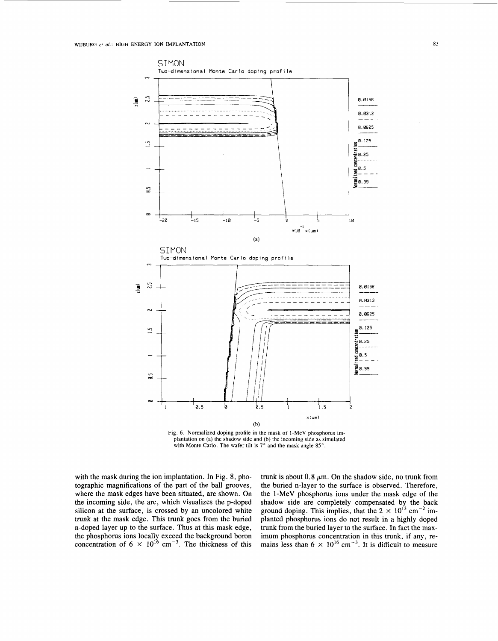<span id="page-4-0"></span>

**Fig. 6. Normalized doping profile in the mask of 1-MeV phosphorus implantation on (a) the shadow side and** (b) **the incoming side as simulated**  with Monte Carlo. The wafer tilt is 7° and the mask angle 85°.

with the mask during the ion implantation. In Fig. **8,** photographic magnifications of the part of the ball grooves, where the mask edges have been situated, are shown. On the incoming side, the arc, which visualizes the p-doped silicon at the surface, is crossed by an uncolored white trunk at the mask edge. This trunk goes from the buried n-doped layer up to the surface. Thus at this mask edge, the phosphorus ions locally exceed the background boron concentration of  $6 \times 10^{16}$  cm<sup>-3</sup>. The thickness of this trunk is about  $0.8 \mu m$ . On the shadow side, no trunk from the buried n-layer to the surface is observed. Therefore, the 1-MeV phosphorus ions under the mask edge of the shadow side are completely compensated by the back ground doping. This implies, that the  $2 \times 10^{13}$  cm<sup>-2</sup> implanted phosphorus ions do not result in a highly doped trunk from the buried layer to the surface. In fact the maximum phosphorus concentration in this trunk, if any, remains less than  $6 \times 10^{16}$  cm<sup>-3</sup>. It is difficult to measure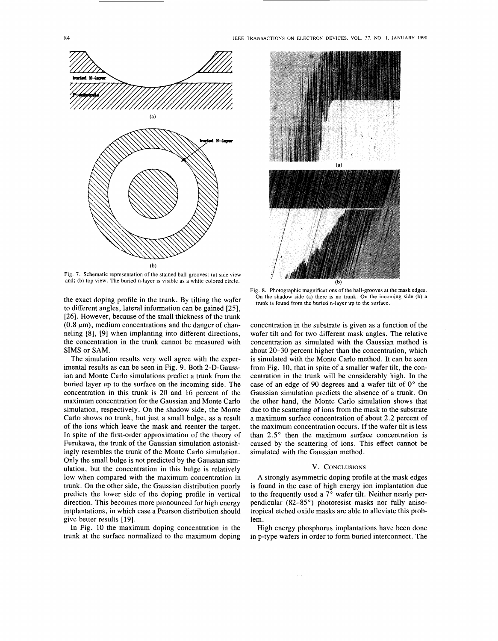<span id="page-5-0"></span>

Fig. 7. Schematic representation of the stained ball-grooves: (a) side view and; (b) top view. The buried n-layer is visible **as** a white colored circle.

the exact doping profile in the trunk. By tilting the wafer to different angles, lateral information can be gained [25], [26]. However, because of the small thickness of the trunk  $(0.8 \mu m)$ , medium concentrations and the danger of channeling [8], [9] when implanting into different directions, the concentration in the trunk cannot be measured with SIMS or SAM.

The simulation results very well agree with the experimental results as can be seen in Fig. 9. Both 2-D-Gaussian and Monte Carlo simulations predict a trunk from the buried layer up to the surface on the incoming side. The concentration in this trunk is 20 and 16 percent of the maximum concentration for the Gaussian and Monte Carlo simulation, respectively. On the shadow side, the Monte Carlo shows no trunk, but just a small bulge, as a result of the ions which leave the mask and reenter the target. In spite of the first-order approximation of the theory of Furukawa, the trunk of the Gaussian simulation astonishingly resembles the trunk of the Monte Carlo simulation. Only the small bulge is not predicted by the Gaussian simulation, but the concentration in this bulge is relatively low when compared with the maximum concentration in trunk. On the other side, the Gaussian distribution poorly predicts the lower side of the doping profile in vertical direction. This becomes more pronounced for high energy implantations, in which case a Pearson distribution should give better results [ 191.

In Fig. 10 the maximum doping concentration in the trunk at the surface normalized to the maximum doping



Fig. 8. Photographic magnifications **of** the ball-grooves at the mask edges. On the shadow side (a) there is no trunk. On the incoming side (b) a trunk is found from the buried n-layer **up** to the surface.

concentration in the substrate is given as a function of the wafer tilt and for two different mask angles. The relative concentration as simulated with the Gaussian method is about **20-30** percent higher than the concentration, which is simulated with the Monte Carlo method. It can be seen from Fig. 10, that in spite of a smaller wafer tilt, the concentration in the trunk will be considerably high. In the case of an edge of 90 degrees and a wafer tilt of  $0^{\circ}$  the Gaussian simulation predicts the absence of a trunk. On the other hand, the Monte Carlo simulation shows that due to the scattering of ions from the mask to the substrate a maximum surface concentration of about 2.2 percent of the maximum concentration occurs. If the wafer tilt is less than  $2.5^{\circ}$  then the maximum surface concentration is caused by the scattering of ions. This effect cannot be simulated with the Gaussian method.

### **V.** CONCLUSIONS

A strongly asymmetric doping profile at the mask edges is found in the case of high energy ion implantation due to the frequently used a **7"** wafer tilt. Neither nearly perpendicular (82-85°) photoresist masks nor fully anisotropical etched oxide masks are able to alleviate this problem.

High energy phosphorus implantations have been done in p-type wafers in order to form buried interconnect. The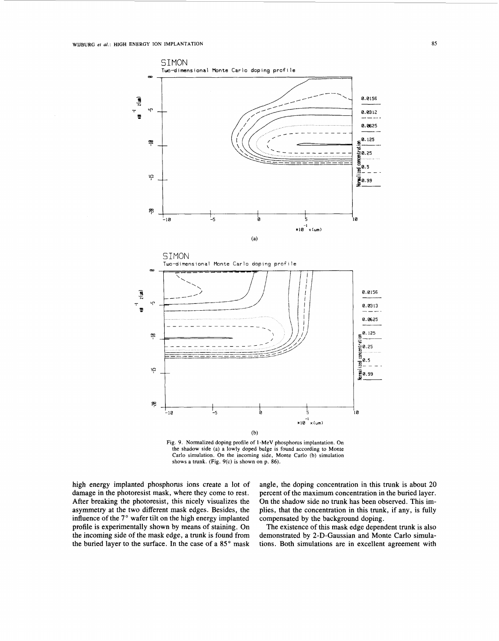

Fig. 9. Normalized doping profile of 1-MeV phosphorus implantation. On the shadow side (a) a lowly doped bulge is found according to Monte Carlo simulation. On the incoming side, Monte Carlo (b) simulation shows a trunk. (Fig. 9(c) is shown on p. 86).

high energy implanted phosphorus ions create a lot of damage in the photoresist mask, where they come to rest. After breaking the photoresist, this nicely visualizes the asymmetry at the two different mask edges. Besides, the influence of the 7° wafer tilt on the high energy implanted profile is experimentally shown by means of staining. On the incoming side of the mask edge, a trunk is found from the buried layer to the surface. In the case of a 85° mask

angle, the doping concentration in this trunk is about 20 percent of the maximum concentration in the buried layer. On the shadow side no trunk has been observed. This implies, that the concentration in this trunk, if any, is fully compensated by the background doping.

The existence of this mask edge dependent trunk is also demonstrated by 2-D-Gaussian and Monte Carlo simulations. Both simulations are in excellent agreement with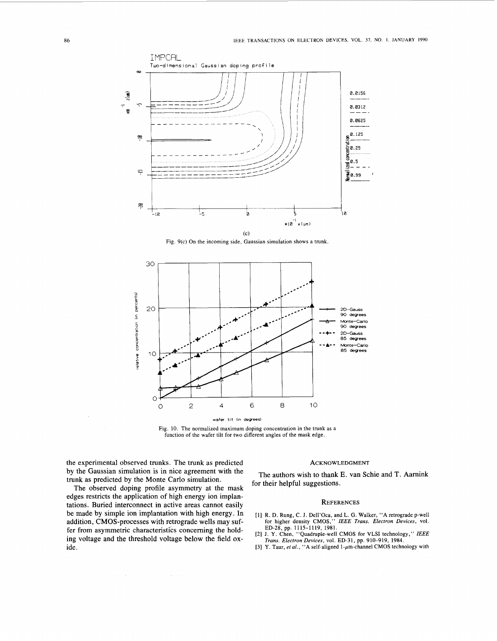

Fig. 9(c) On the incoming side, Gaussian simulation shows a trunk.



Fig. 10. The normalized maximum doping concentration in the trunk as **<sup>a</sup>** function of the wafer tilt **for** two different angles of the mask edge.

the experimental observed trunks. The trunk as predicted **ACKNOWLEDGMENT** by the Gaussian simulation is in nice agreement with the trunk as predicted by the Monte Carlo simulation.

The observed doping profile asymmetry **at** the mask edges restricts the application of high energy ion implantations. Buried interconnect in active areas cannot easily be made by simple ion implantation with high energy. In addition, CMOS-processes with retrograde wells may sufing voltage and the threshold voltage below the field **ox**ide. ED-28, pp. 1115-1119, 1981. fer from asymmetric characteristics concerning the [2] **J, y,** Chen, "Quadruple-u,ell CMOS **for VLSI** technology," *IEEE* 

The authors wish to thank E. van Schie and T. Aarnink for their helpful suggestions.

#### **REFERENCES**

- **[I]** R. D. Rung, C. J. Dell'Oca, and L. *G.* Walker, **"A** retrograde p-well **for** higher density CMOS," *IEEE Trans. Electron Devices,* **vol.**
- *Trans. Electron Devices,* vol. ED-31, pp. 910-919, 1984.
- **[3]** Y. Taur, *et al.,* **"A** self-aligned 1-pm-channel **CMOS** technology with